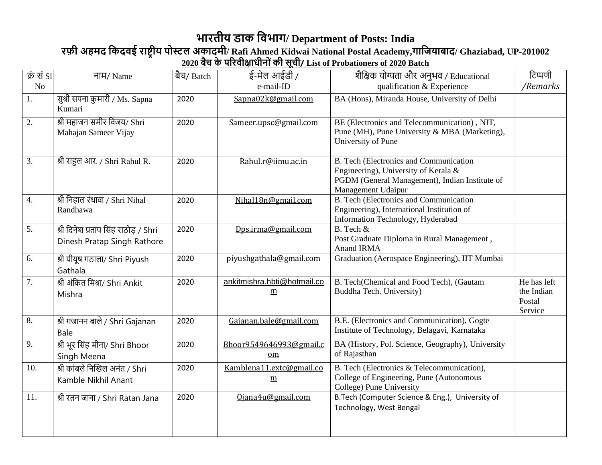## **भारतीय डाक विभाग/ Department of Posts: India**

## **रफ़ी अहमद वकदिई राष्ट्रीय पोस्टल अकादमी/ Rafi Ahmed Kidwai National Postal Academy,गावियाबाद/ Ghaziabad, UP-201002**

## **2020 बैच के पररिीक्षाधीनोों की सूची/ List of Probationers of 2020 Batch**

| क्रें से SI      | नाम/ Name                                                           | बैच/ Batch | ई-मेल आईडी /                                   | शैक्षिक योग्यता और अनुभव / Educational                                                                                                                        | टिप्पणी                                        |
|------------------|---------------------------------------------------------------------|------------|------------------------------------------------|---------------------------------------------------------------------------------------------------------------------------------------------------------------|------------------------------------------------|
| No               |                                                                     |            | e-mail-ID                                      | qualification & Experience                                                                                                                                    | /Remarks                                       |
| 1.               | सुश्री सपना कुमारी / Ms. Sapna<br>Kumari                            | 2020       | Sapna02k@gmail.com                             | BA (Hons), Miranda House, University of Delhi                                                                                                                 |                                                |
| 2.               | श्री महाजन समीर विजय/ Shri<br>Mahajan Sameer Vijay                  | 2020       | Sameer.upsc@gmail.com                          | BE (Electronics and Telecommunication), NIT,<br>Pune (MH), Pune University & MBA (Marketing),<br>University of Pune                                           |                                                |
| 3.               | श्री राहुल आर. / Shri Rahul R.                                      | 2020       | Rahul.r@iimu.ac.in                             | <b>B.</b> Tech (Electronics and Communication<br>Engineering), University of Kerala &<br>PGDM (General Management), Indian Institute of<br>Management Udaipur |                                                |
| $\overline{4}$ . | श्री निहाल रंधावा / Shri Nihal<br>Randhawa                          | 2020       | Nihal18n@gmail.com                             | <b>B.</b> Tech (Electronics and Communication<br>Engineering), International Institution of<br>Information Technology, Hyderabad                              |                                                |
| 5.               | श्री दिनेश प्रताप सिंह राठोड़ / Shri<br>Dinesh Pratap Singh Rathore | 2020       | Dps.irma@gmail.com                             | B. Tech &<br>Post Graduate Diploma in Rural Management,<br>Anand IRMA                                                                                         |                                                |
| 6.               | श्री पीयूष गठाला/ Shri Piyush<br>Gathala                            | 2020       | piyushgathala@gmail.com                        | Graduation (Aerospace Engineering), IIT Mumbai                                                                                                                |                                                |
| 7.               | श्री अंकित मिश्रा/ Shri Ankit<br>Mishra                             | 2020       | ankitmishra.hbti@hotmail.co<br>$\underline{m}$ | B. Tech(Chemical and Food Tech), (Gautam<br>Buddha Tech. University)                                                                                          | He has left<br>the Indian<br>Postal<br>Service |
| 8.               | श्री गजानन बाले / Shri Gajanan<br>Bale                              | 2020       | Gajanan.bale@gmail.com                         | B.E. (Electronics and Communication), Gogte<br>Institute of Technology, Belagavi, Karnataka                                                                   |                                                |
| 9.               | श्री भूर सिंह मीना/ Shri Bhoor<br>Singh Meena                       | 2020       | Bhoor9549646993@gmail.c<br>om                  | BA (History, Pol. Science, Geography), University<br>of Rajasthan                                                                                             |                                                |
| 10.              | श्री कांबले निखिल अनंत / Shri<br>Kamble Nikhil Anant                | 2020       | Kamblena11.extc@gmail.co<br>$\underline{m}$    | B. Tech (Electronics & Telecommunication),<br>College of Engineering, Pune (Autonomous<br>College) Pune University                                            |                                                |
| 11.              | श्री रतन जाना / Shri Ratan Jana                                     | 2020       | Ojana4u@gmail.com                              | B.Tech (Computer Science & Eng.), University of<br>Technology, West Bengal                                                                                    |                                                |